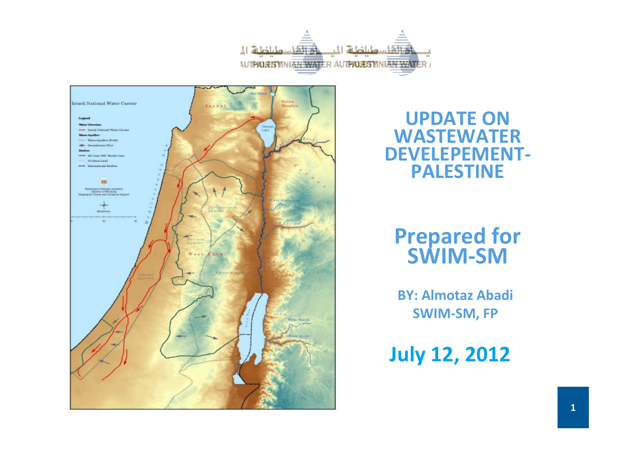



#### UPDATE ON WASTEWATER DEVELEPEMENT-PALESTINE

# Prepared for SWIM-SM

BY: Almotaz AbadiSWIM-SM, FP

July 12, 2012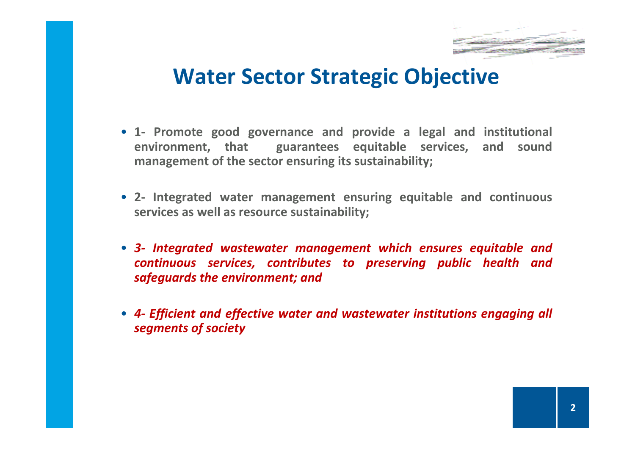

#### Water Sector Strategic Objective

- 1- Promote good governance and provide a legal and institutional environment, that guarantees equitable services, and sound management of the sector ensuring its sustainability;
- 2- Integrated water management ensuring equitable and continuous services as well as resource sustainability;
- 3- Integrated wastewater management which ensures equitable and continuous services, contributes to preserving public health andsafeguards the environment; and
- 4- Efficient and effective water and wastewater institutions engaging all segments of society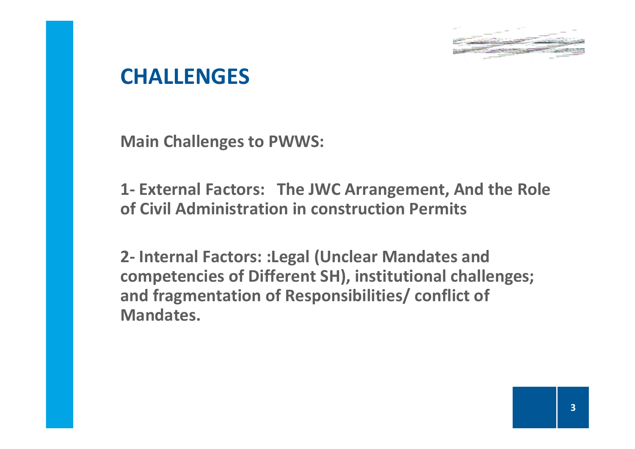

#### **CHALLENGES**

Main Challenges to PWWS:

1- External Factors: The JWC Arrangement, And the Role of Civil Administration in construction Permits

2- Internal Factors: :Legal (Unclear Mandates and competencies of Different SH), institutional challenges; and fragmentation of Responsibilities/ conflict of Mandates.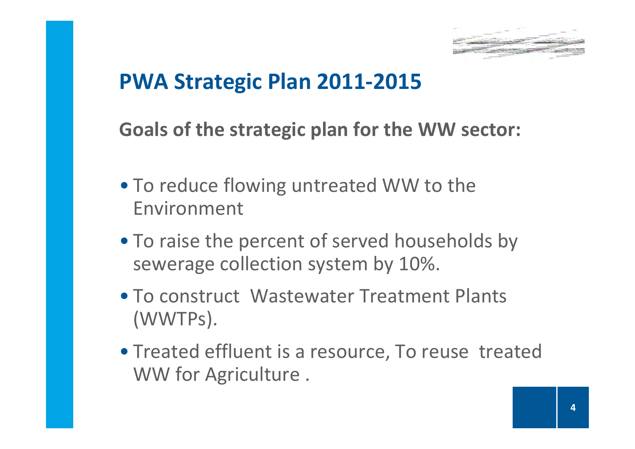

#### PWA Strategic Plan 2011-2015

Goals of the strategic plan for the WW sector:

- To reduce flowing untreated WW to the Environment
- To raise the percent of served households by sewerage collection system by 10%.
- To construct Wastewater Treatment Plants (WWTPs).
- Treated effluent is a resource, To reuse treated WW for Agriculture .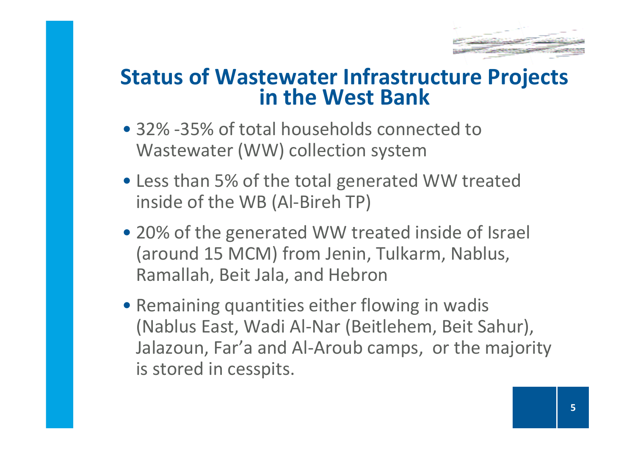

# Status of Wastewater Infrastructure Projects in the West Bank

- 32% -35% of total households connected to Wastewater (WW) collection system
- Less than 5% of the total generated WW treated inside of the WB (Al-Bireh TP)
- 20% of the generated WW treated inside of Israel (around 15 MCM) from Jenin, Tulkarm, Nablus, Ramallah, Beit Jala, and Hebron
- Remaining quantities either flowing in wadis (Nablus East, Wadi Al-Nar (Beitlehem, Beit Sahur), Jalazoun, Far'a and Al-Aroub camps, or the majority is stored in cesspits.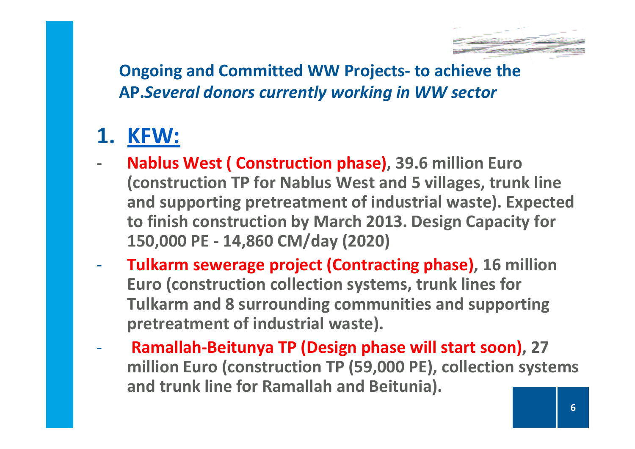

Ongoing and Committed WW Projects- to achieve the AP.Several donors currently working in WW sector

#### 1. <u>KFW:</u>

- - Nablus West ( Construction phase), 39.6 million Euro (construction TP for Nablus West and 5 villages, trunk line and supporting pretreatment of industrial waste). Expected to finish construction by March 2013. Design Capacity for 150,000 PE - 14,860 CM/day (2020)
- Tulkarm sewerage project (Contracting phase), 16 million Euro (construction collection systems, trunk lines for Tulkarm and 8 surrounding communities and supporting pretreatment of industrial waste).
- - Ramallah-Beitunya TP (Design phase will start soon), 27 million Euro (construction TP (59,000 PE), collection systems and trunk line for Ramallah and Beitunia).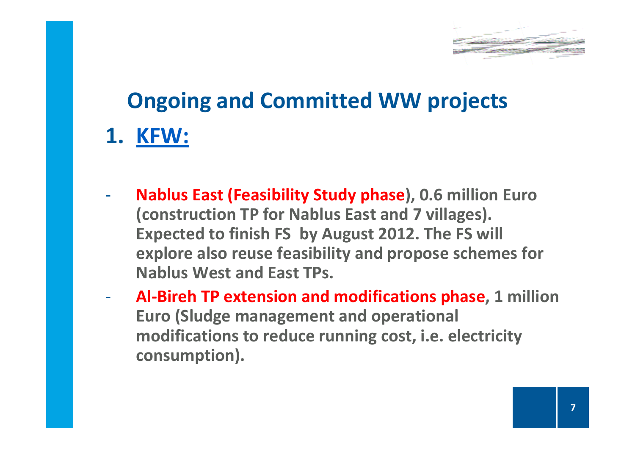

# Ongoing and Committed WW projects1. <u>KFW:</u>

- - Nablus East (Feasibility Study phase), 0.6 million Euro (construction TP for Nablus East and 7 villages). Expected to finish FS by August 2012. The FS will explore also reuse feasibility and propose schemes for Nablus West and East TPs.
- - Al-Bireh TP extension and modifications phase, 1 million Euro (Sludge management and operational modifications to reduce running cost, i.e. electricity consumption).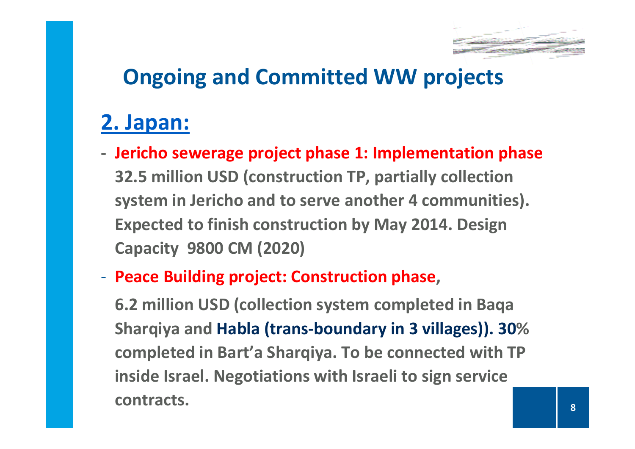

#### 2. Japan:

- - Jericho sewerage project phase 1: Implementation phase32.5 million USD (construction TP, partially collection system in Jericho and to serve another 4 communities). Expected to finish construction by May 2014. DesignCapacity 9800 CM (2020)
- -- Peace Building project: Construction phase,

6.2 million USD (collection system completed in Baqa Sharqiya and Habla (trans-boundary in 3 villages)). 30% completed in Bart'a Sharqiya. To be connected with TP inside Israel. Negotiations with Israeli to sign service contracts.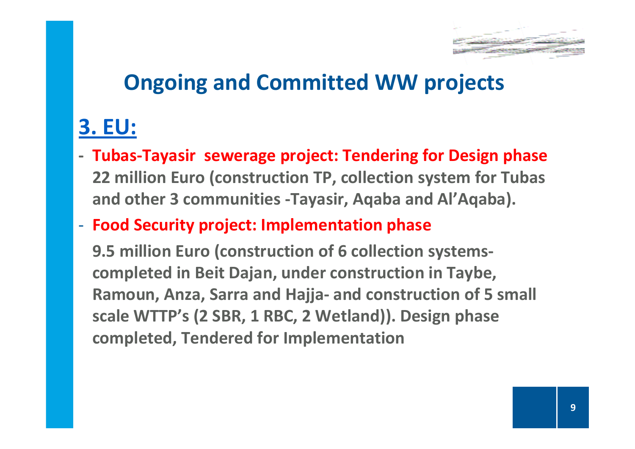

#### 3. EU:

- - Tubas-Tayasir sewerage project: Tendering for Design phase 22 million Euro (construction TP, collection system for Tubas and other 3 communities -Tayasir, Aqaba and Al'Aqaba).
- -- Food Security project: Implementation phase

9.5 million Euro (construction of 6 collection systemscompleted in Beit Dajan, under construction in Taybe, Ramoun, Anza, Sarra and Hajja- and construction of 5 small scale WTTP's (2 SBR, 1 RBC, 2 Wetland)). Design phase completed, Tendered for Implementation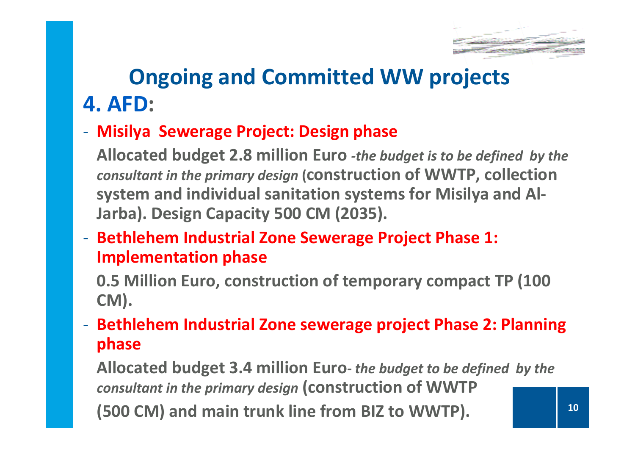

10

### Ongoing and Committed WW projects4. AFD:

#### -Misilya Sewerage Project: Design phase

Allocated budget 2.8 million Euro -the budget is to be defined by the consultant in the primary design (construction of WWTP, collection system and individual sanitation systems for Misilya and Al-Jarba). Design Capacity 500 CM (2035).

-- Bethlehem Industrial Zone Sewerage Project Phase 1: Implementation phase

0.5 Million Euro, construction of temporary compact TP (100 CM).

- Bethlehem Industrial Zone sewerage project Phase 2: Planning phase

Allocated budget 3.4 million Euro- the budget to be defined by the consultant in the primary design (construction of WWTP (500 CM) and main trunk line from BIZ to WWTP).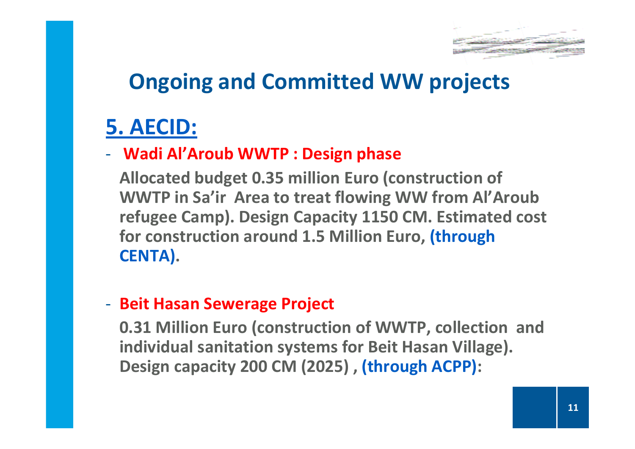

#### 5. AECID:

#### -Wadi Al'Aroub WWTP : Design phase

Allocated budget 0.35 million Euro (construction of WWTP in Sa'ir Area to treat flowing WW from Al'Aroub refugee Camp). Design Capacity 1150 CM. Estimated cost for construction around 1.5 Million Euro, (through CENTA).

#### -- Beit Hasan Sewerage Project

0.31 Million Euro (construction of WWTP, collection and individual sanitation systems for Beit Hasan Village). Design capacity 200 CM (2025) , (through ACPP):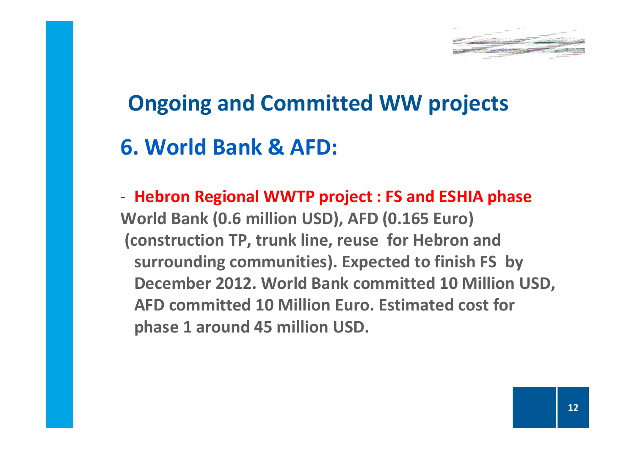

#### 6. World Bank & AFD:

-- Hebron Regional WWTP project : FS and ESHIA phase World Bank (0.6 million USD), AFD (0.165 Euro)(construction TP, trunk line, reuse for Hebron and surrounding communities). Expected to finish FS by December 2012. World Bank committed 10 Million USD,AFD committed 10 Million Euro. Estimated cost for phase 1 around 45 million USD.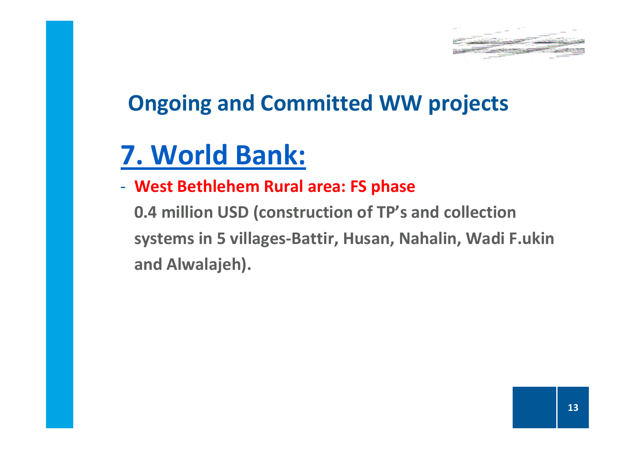

## 7. World Bank:

-West Bethlehem Rural area: FS phase

0.4 million USD (construction of TP's and collection systems in 5 villages-Battir, Husan, Nahalin, Wadi F.ukin and Alwalajeh).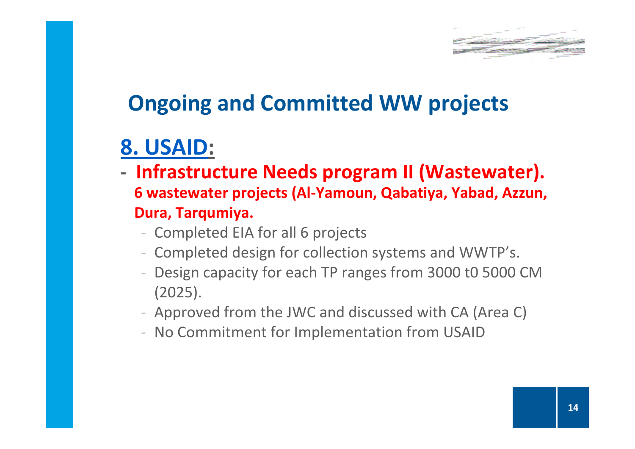

### 8. USAID:

- Infrastructure Needs program II (Wastewater). 6 wastewater projects (Al-Yamoun, Qabatiya, Yabad, Azzun, Dura, Tarqumiya.
	- Completed EIA for all 6 projects
	- Completed design for collection systems and WWTP's.
	- Design capacity for each TP ranges from 3000 t0 5000 CM (2025).
	- Approved from the JWC and discussed with CA (Area C)
	- No Commitment for Implementation from USAID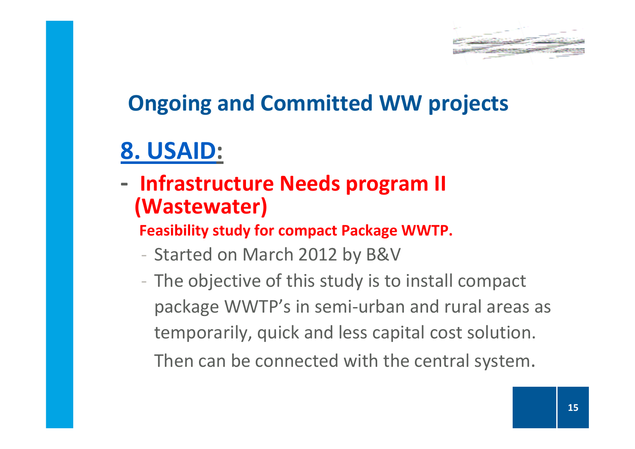

## 8. USAID:

-- Infrastructure Needs program II (Wastewater)

Feasibility study for compact Package WWTP.

- Started on March 2012 by B&V
- The objective of this study is to install compact package WWTP's in semi-urban and rural areas as temporarily, quick and less capital cost solution. Then can be connected with the central system.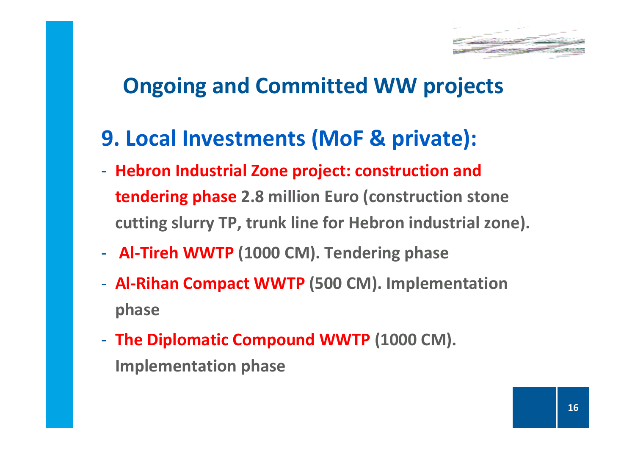

- 9. Local Investments (MoF & private):
- -- Hebron Industrial Zone project: construction and tendering phase 2.8 million Euro (construction stone cutting slurry TP, trunk line for Hebron industrial zone).
- -- Al-Tireh WWTP (1000 CM). Tendering phase
- - Al-Rihan Compact WWTP (500 CM). Implementation phase
- -- The Diplomatic Compound WWTP (1000 CM). Implementation phase